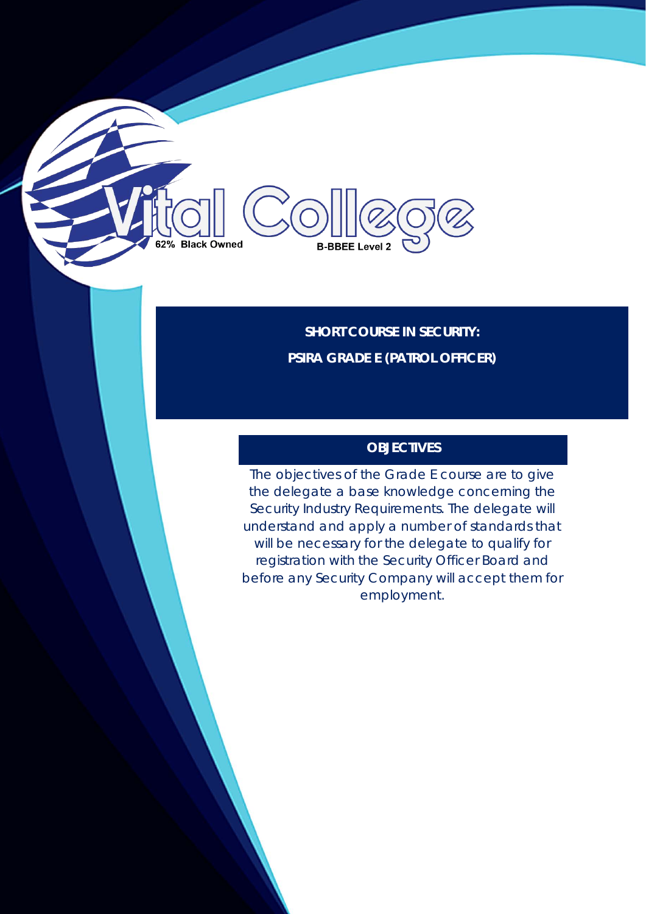**SHORT COURSE IN SECURITY: PSIRA GRADE E (PATROL OFFICER)**

**B-BBEE Level 2** 

**Black Owned** 

# **OBJECTIVES**

The objectives of the Grade E course are to give the delegate a base knowledge concerning the Security Industry Requirements. The delegate will understand and apply a number of standards that will be necessary for the delegate to qualify for registration with the Security Officer Board and before any Security Company will accept them for employment.